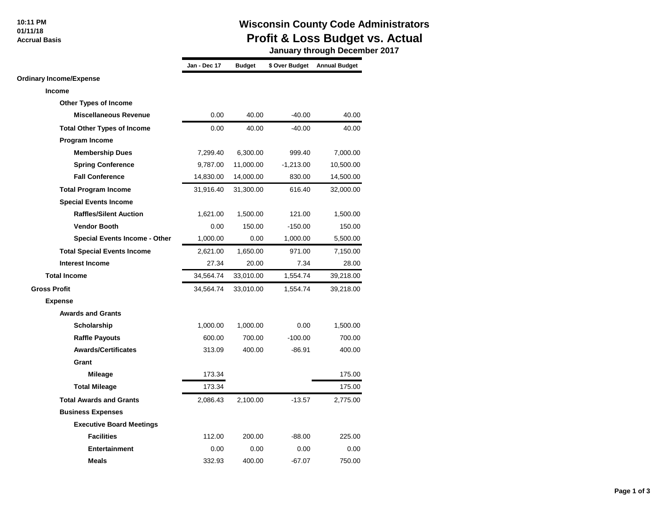### **10:11 PM 01/11/18**

 **Accrual Basis**

## **Wisconsin County Code Administrators Profit & Loss Budget vs. Actual**

 **January through December 2017**

|                                      | Jan - Dec 17 | <b>Budget</b> | \$ Over Budget | <b>Annual Budget</b> |
|--------------------------------------|--------------|---------------|----------------|----------------------|
| <b>Ordinary Income/Expense</b>       |              |               |                |                      |
| Income                               |              |               |                |                      |
| <b>Other Types of Income</b>         |              |               |                |                      |
| <b>Miscellaneous Revenue</b>         | 0.00         | 40.00         | $-40.00$       | 40.00                |
| <b>Total Other Types of Income</b>   | 0.00         | 40.00         | $-40.00$       | 40.00                |
| <b>Program Income</b>                |              |               |                |                      |
| <b>Membership Dues</b>               | 7,299.40     | 6,300.00      | 999.40         | 7,000.00             |
| <b>Spring Conference</b>             | 9,787.00     | 11,000.00     | $-1,213.00$    | 10,500.00            |
| <b>Fall Conference</b>               | 14,830.00    | 14,000.00     | 830.00         | 14,500.00            |
| <b>Total Program Income</b>          | 31,916.40    | 31,300.00     | 616.40         | 32,000.00            |
| <b>Special Events Income</b>         |              |               |                |                      |
| <b>Raffles/Silent Auction</b>        | 1,621.00     | 1,500.00      | 121.00         | 1,500.00             |
| <b>Vendor Booth</b>                  | 0.00         | 150.00        | $-150.00$      | 150.00               |
| <b>Special Events Income - Other</b> | 1,000.00     | 0.00          | 1,000.00       | 5,500.00             |
| <b>Total Special Events Income</b>   | 2,621.00     | 1,650.00      | 971.00         | 7,150.00             |
| <b>Interest Income</b>               | 27.34        | 20.00         | 7.34           | 28.00                |
| <b>Total Income</b>                  | 34,564.74    | 33,010.00     | 1,554.74       | 39,218.00            |
| <b>Gross Profit</b>                  | 34,564.74    | 33,010.00     | 1,554.74       | 39,218.00            |
| <b>Expense</b>                       |              |               |                |                      |
| <b>Awards and Grants</b>             |              |               |                |                      |
| Scholarship                          | 1,000.00     | 1,000.00      | 0.00           | 1,500.00             |
| <b>Raffle Payouts</b>                | 600.00       | 700.00        | $-100.00$      | 700.00               |
| <b>Awards/Certificates</b>           | 313.09       | 400.00        | $-86.91$       | 400.00               |
| Grant                                |              |               |                |                      |
| <b>Mileage</b>                       | 173.34       |               |                | 175.00               |
| <b>Total Mileage</b>                 | 173.34       |               |                | 175.00               |
| <b>Total Awards and Grants</b>       | 2,086.43     | 2,100.00      | $-13.57$       | 2,775.00             |
| <b>Business Expenses</b>             |              |               |                |                      |
| <b>Executive Board Meetings</b>      |              |               |                |                      |
| <b>Facilities</b>                    | 112.00       | 200.00        | $-88.00$       | 225.00               |
| <b>Entertainment</b>                 | 0.00         | 0.00          | 0.00           | 0.00                 |
| <b>Meals</b>                         | 332.93       | 400.00        | $-67.07$       | 750.00               |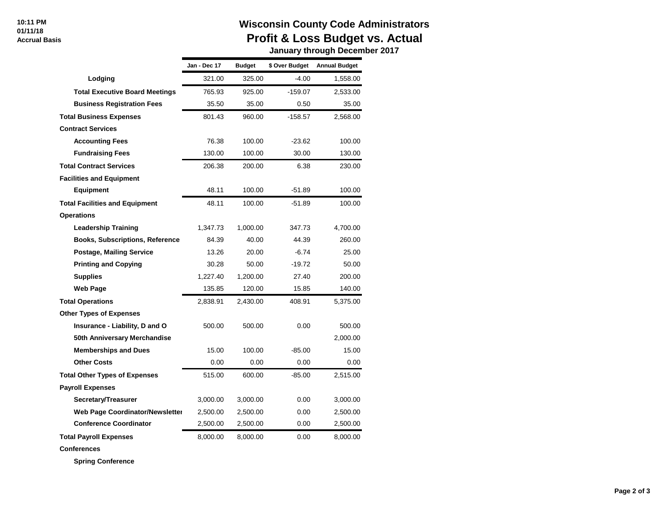#### **10:11 PM 01/11/18 Accrual Basis**

## **Wisconsin County Code Administrators Profit & Loss Budget vs. Actual**

 **January through December 2017**

|                                        | Jan - Dec 17 | <b>Budget</b> | \$ Over Budget | <b>Annual Budget</b> |
|----------------------------------------|--------------|---------------|----------------|----------------------|
| Lodging                                | 321.00       | 325.00        | -4.00          | 1,558.00             |
| <b>Total Executive Board Meetings</b>  | 765.93       | 925.00        | $-159.07$      | 2,533.00             |
| <b>Business Registration Fees</b>      | 35.50        | 35.00         | 0.50           | 35.00                |
| <b>Total Business Expenses</b>         | 801.43       | 960.00        | $-158.57$      | 2,568.00             |
| <b>Contract Services</b>               |              |               |                |                      |
| <b>Accounting Fees</b>                 | 76.38        | 100.00        | $-23.62$       | 100.00               |
| <b>Fundraising Fees</b>                | 130.00       | 100.00        | 30.00          | 130.00               |
| <b>Total Contract Services</b>         | 206.38       | 200.00        | 6.38           | 230.00               |
| <b>Facilities and Equipment</b>        |              |               |                |                      |
| Equipment                              | 48.11        | 100.00        | $-51.89$       | 100.00               |
| <b>Total Facilities and Equipment</b>  | 48.11        | 100.00        | $-51.89$       | 100.00               |
| <b>Operations</b>                      |              |               |                |                      |
| Leadership Training                    | 1,347.73     | 1,000.00      | 347.73         | 4,700.00             |
| <b>Books, Subscriptions, Reference</b> | 84.39        | 40.00         | 44.39          | 260.00               |
| <b>Postage, Mailing Service</b>        | 13.26        | 20.00         | $-6.74$        | 25.00                |
| <b>Printing and Copying</b>            | 30.28        | 50.00         | $-19.72$       | 50.00                |
| <b>Supplies</b>                        | 1.227.40     | 1,200.00      | 27.40          | 200.00               |
| Web Page                               | 135.85       | 120.00        | 15.85          | 140.00               |
| <b>Total Operations</b>                | 2,838.91     | 2,430.00      | 408.91         | 5,375.00             |
| <b>Other Types of Expenses</b>         |              |               |                |                      |
| Insurance - Liability, D and O         | 500.00       | 500.00        | 0.00           | 500.00               |
| 50th Anniversary Merchandise           |              |               |                | 2,000.00             |
| <b>Memberships and Dues</b>            | 15.00        | 100.00        | $-85.00$       | 15.00                |
| <b>Other Costs</b>                     | 0.00         | 0.00          | 0.00           | 0.00                 |
| <b>Total Other Types of Expenses</b>   | 515.00       | 600.00        | $-85.00$       | 2,515.00             |
| <b>Payroll Expenses</b>                |              |               |                |                      |
| Secretary/Treasurer                    | 3,000.00     | 3,000.00      | 0.00           | 3,000.00             |
| Web Page Coordinator/Newsletter        | 2,500.00     | 2,500.00      | 0.00           | 2,500.00             |
| <b>Conference Coordinator</b>          | 2,500.00     | 2,500.00      | 0.00           | 2,500.00             |
| <b>Total Payroll Expenses</b>          | 8,000.00     | 8,000.00      | 0.00           | 8,000.00             |

**Conferences**

**Spring Conference**